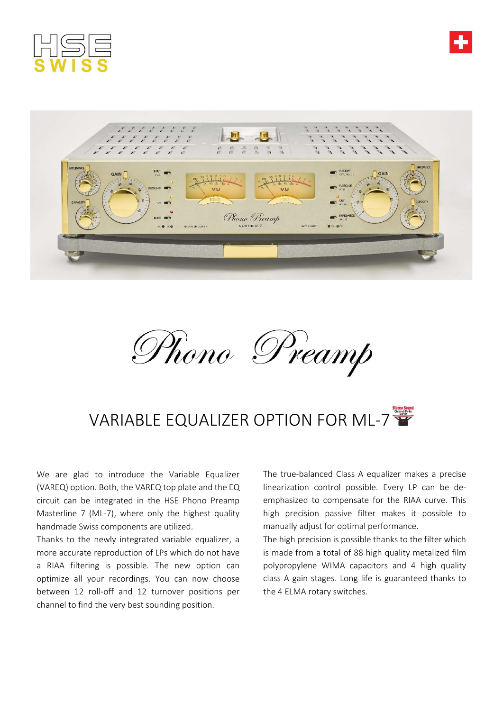





## VARIABLE EQUALIZER OPTION FOR ML-7

We are glad to introduce the Variable Equalizer (VAREQ) option. Both, the VAREQ top plate and the EQ circuit can be integrated in the HSE Phono Preamp Masterline 7 (ML-7), where only the highest quality handmade Swiss components are utilized.

Thanks to the newly integrated variable equalizer, a more accurate reproduction of LPs which do not have a RIAA filtering is possible. The new option can optimize all your recordings. You can now choose between 12 roll-off and 12 turnover positions per channel to find the very best sounding position.

The true-balanced Class A equalizer makes a precise linearization control possible. Every LP can be deemphasized to compensate for the RIAA curve. This high precision passive filter makes it possible to manually adjust for optimal performance.

The high precision is possible thanks to the filter which is made from a total of 88 high quality metalized film polypropylene WIMA capacitors and 4 high quality class A gain stages. Long life is guaranteed thanks to the 4 ELMA rotary switches.